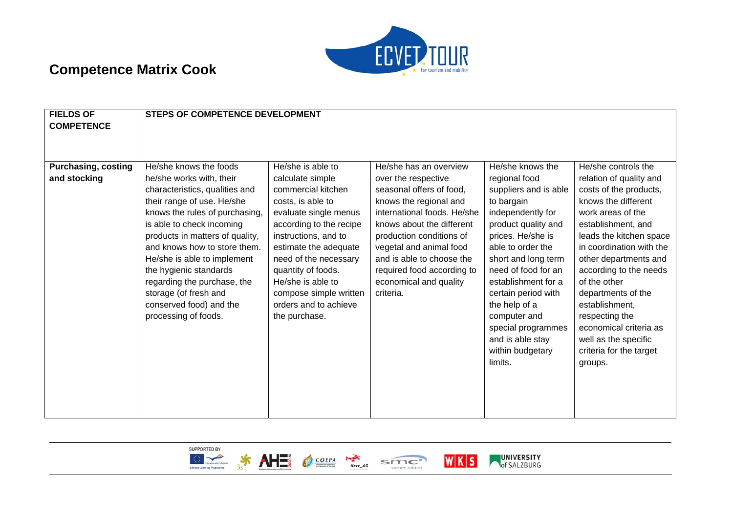

## **Competence Matrix Cook**

| <b>FIELDS OF</b>           | <b>STEPS OF COMPETENCE DEVELOPMENT</b> |                         |                             |                       |                          |
|----------------------------|----------------------------------------|-------------------------|-----------------------------|-----------------------|--------------------------|
|                            |                                        |                         |                             |                       |                          |
| <b>COMPETENCE</b>          |                                        |                         |                             |                       |                          |
|                            |                                        |                         |                             |                       |                          |
|                            |                                        |                         |                             |                       |                          |
| <b>Purchasing, costing</b> | He/she knows the foods                 | He/she is able to       | He/she has an overview      | He/she knows the      | He/she controls the      |
|                            |                                        |                         |                             |                       |                          |
| and stocking               | he/she works with, their               | calculate simple        | over the respective         | regional food         | relation of quality and  |
|                            | characteristics, qualities and         | commercial kitchen      | seasonal offers of food,    | suppliers and is able | costs of the products,   |
|                            | their range of use. He/she             | costs, is able to       | knows the regional and      | to bargain            | knows the different      |
|                            | knows the rules of purchasing,         | evaluate single menus   | international foods. He/she | independently for     | work areas of the        |
|                            | is able to check incoming              | according to the recipe | knows about the different   | product quality and   | establishment, and       |
|                            | products in matters of quality,        | instructions, and to    | production conditions of    | prices. He/she is     | leads the kitchen space  |
|                            | and knows how to store them.           | estimate the adequate   | vegetal and animal food     | able to order the     | in coordination with the |
|                            | He/she is able to implement            | need of the necessary   | and is able to choose the   | short and long term   | other departments and    |
|                            | the hygienic standards                 | quantity of foods.      | required food according to  | need of food for an   | according to the needs   |
|                            | regarding the purchase, the            | He/she is able to       | economical and quality      | establishment for a   | of the other             |
|                            | storage (of fresh and                  | compose simple written  | criteria.                   | certain period with   | departments of the       |
|                            | conserved food) and the                | orders and to achieve   |                             | the help of a         | establishment,           |
|                            | processing of foods.                   | the purchase.           |                             | computer and          | respecting the           |
|                            |                                        |                         |                             |                       | economical criteria as   |
|                            |                                        |                         |                             | special programmes    |                          |
|                            |                                        |                         |                             | and is able stay      | well as the specific     |
|                            |                                        |                         |                             | within budgetary      | criteria for the target  |
|                            |                                        |                         |                             | limits.               | groups.                  |
|                            |                                        |                         |                             |                       |                          |
|                            |                                        |                         |                             |                       |                          |
|                            |                                        |                         |                             |                       |                          |
|                            |                                        |                         |                             |                       |                          |
|                            |                                        |                         |                             |                       |                          |



 $\frac{1}{3s^*}$  AHE OCOEPA

 $\widehat{\mathbf{smn}}$ 

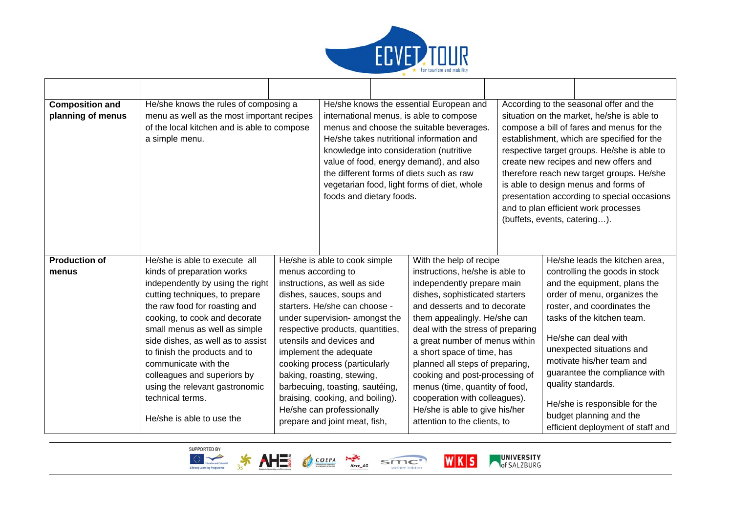

| <b>Composition and</b><br>planning of menus | He/she knows the rules of composing a<br>menu as well as the most important recipes<br>of the local kitchen and is able to compose<br>a simple menu.                                                                                                                                                                                                                                                                                                 |                    | He/she knows the essential European and<br>international menus, is able to compose<br>menus and choose the suitable beverages.<br>He/she takes nutritional information and<br>knowledge into consideration (nutritive<br>value of food, energy demand), and also<br>the different forms of diets such as raw<br>vegetarian food, light forms of diet, whole<br>foods and dietary foods.                                                                      |  | According to the seasonal offer and the<br>situation on the market, he/she is able to<br>compose a bill of fares and menus for the<br>establishment, which are specified for the<br>respective target groups. He/she is able to<br>create new recipes and new offers and<br>therefore reach new target groups. He/she<br>is able to design menus and forms of<br>presentation according to special occasions<br>and to plan efficient work processes<br>(buffets, events, catering).                      |  |                                                                                                                                                                                                                                                                                                                                                                                                                                         |
|---------------------------------------------|------------------------------------------------------------------------------------------------------------------------------------------------------------------------------------------------------------------------------------------------------------------------------------------------------------------------------------------------------------------------------------------------------------------------------------------------------|--------------------|--------------------------------------------------------------------------------------------------------------------------------------------------------------------------------------------------------------------------------------------------------------------------------------------------------------------------------------------------------------------------------------------------------------------------------------------------------------|--|-----------------------------------------------------------------------------------------------------------------------------------------------------------------------------------------------------------------------------------------------------------------------------------------------------------------------------------------------------------------------------------------------------------------------------------------------------------------------------------------------------------|--|-----------------------------------------------------------------------------------------------------------------------------------------------------------------------------------------------------------------------------------------------------------------------------------------------------------------------------------------------------------------------------------------------------------------------------------------|
| <b>Production of</b><br>menus               | He/she is able to execute all<br>kinds of preparation works<br>independently by using the right<br>cutting techniques, to prepare<br>the raw food for roasting and<br>cooking, to cook and decorate<br>small menus as well as simple<br>side dishes, as well as to assist<br>to finish the products and to<br>communicate with the<br>colleagues and superiors by<br>using the relevant gastronomic<br>technical terms.<br>He/she is able to use the | menus according to | He/she is able to cook simple<br>instructions, as well as side<br>dishes, sauces, soups and<br>starters. He/she can choose -<br>under supervision- amongst the<br>respective products, quantities,<br>utensils and devices and<br>implement the adequate<br>cooking process (particularly<br>baking, roasting, stewing,<br>barbecuing, toasting, sautéing,<br>braising, cooking, and boiling).<br>He/she can professionally<br>prepare and joint meat, fish, |  | With the help of recipe<br>instructions, he/she is able to<br>independently prepare main<br>dishes, sophisticated starters<br>and desserts and to decorate<br>them appealingly. He/she can<br>deal with the stress of preparing<br>a great number of menus within<br>a short space of time, has<br>planned all steps of preparing,<br>cooking and post-processing of<br>menus (time, quantity of food,<br>cooperation with colleagues).<br>He/she is able to give his/her<br>attention to the clients, to |  | He/she leads the kitchen area,<br>controlling the goods in stock<br>and the equipment, plans the<br>order of menu, organizes the<br>roster, and coordinates the<br>tasks of the kitchen team.<br>He/she can deal with<br>unexpected situations and<br>motivate his/her team and<br>guarantee the compliance with<br>quality standards.<br>He/she is responsible for the<br>budget planning and the<br>efficient deployment of staff and |



 $\Gamma$ 



 $W|K|S$ 

UNIVERSITY<br>
of SALZBURG